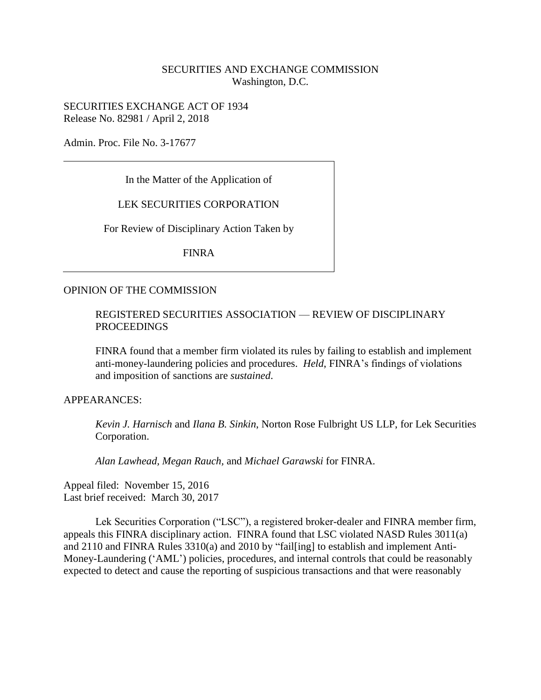# SECURITIES AND EXCHANGE COMMISSION Washington, D.C.

SECURITIES EXCHANGE ACT OF 1934 Release No. 82981 / April 2, 2018

Admin. Proc. File No. 3-17677

In the Matter of the Application of

# LEK SECURITIES CORPORATION

For Review of Disciplinary Action Taken by

FINRA

#### OPINION OF THE COMMISSION

### REGISTERED SECURITIES ASSOCIATION — REVIEW OF DISCIPLINARY PROCEEDINGS

FINRA found that a member firm violated its rules by failing to establish and implement anti-money-laundering policies and procedures. *Held*, FINRA's findings of violations and imposition of sanctions are *sustained*.

# APPEARANCES:

*Kevin J. Harnisch* and *Ilana B. Sinkin*, Norton Rose Fulbright US LLP, for Lek Securities Corporation.

*Alan Lawhead, Megan Rauch,* and *Michael Garawski* for FINRA.

Appeal filed: November 15, 2016 Last brief received: March 30, 2017

Lek Securities Corporation ("LSC"), a registered broker-dealer and FINRA member firm, appeals this FINRA disciplinary action. FINRA found that LSC violated NASD Rules 3011(a) and 2110 and FINRA Rules 3310(a) and 2010 by "fail[ing] to establish and implement Anti-Money-Laundering ('AML') policies, procedures, and internal controls that could be reasonably expected to detect and cause the reporting of suspicious transactions and that were reasonably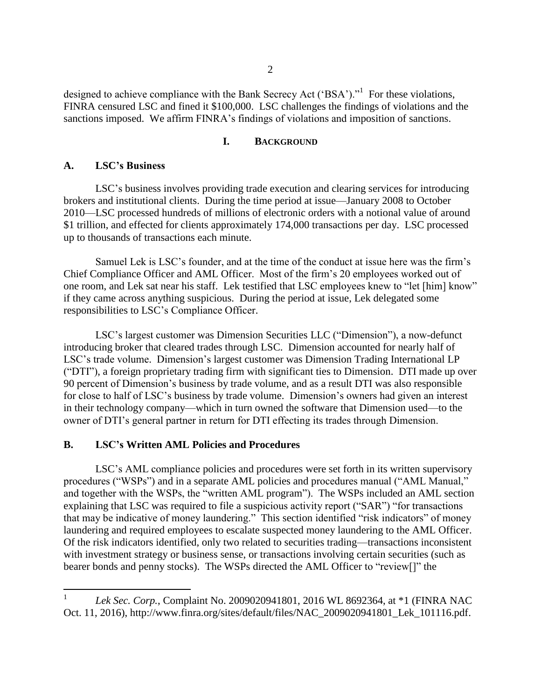designed to achieve compliance with the Bank Secrecy Act ('BSA')."<sup>1</sup> For these violations, FINRA censured LSC and fined it \$100,000. LSC challenges the findings of violations and the sanctions imposed. We affirm FINRA's findings of violations and imposition of sanctions.

#### **I. BACKGROUND**

#### **A. LSC's Business**

LSC's business involves providing trade execution and clearing services for introducing brokers and institutional clients. During the time period at issue—January 2008 to October 2010—LSC processed hundreds of millions of electronic orders with a notional value of around \$1 trillion, and effected for clients approximately 174,000 transactions per day. LSC processed up to thousands of transactions each minute.

Samuel Lek is LSC's founder, and at the time of the conduct at issue here was the firm's Chief Compliance Officer and AML Officer. Most of the firm's 20 employees worked out of one room, and Lek sat near his staff. Lek testified that LSC employees knew to "let [him] know" if they came across anything suspicious. During the period at issue, Lek delegated some responsibilities to LSC's Compliance Officer.

LSC's largest customer was Dimension Securities LLC ("Dimension"), a now-defunct introducing broker that cleared trades through LSC. Dimension accounted for nearly half of LSC's trade volume. Dimension's largest customer was Dimension Trading International LP ("DTI"), a foreign proprietary trading firm with significant ties to Dimension. DTI made up over 90 percent of Dimension's business by trade volume, and as a result DTI was also responsible for close to half of LSC's business by trade volume. Dimension's owners had given an interest in their technology company—which in turn owned the software that Dimension used—to the owner of DTI's general partner in return for DTI effecting its trades through Dimension.

# **B. LSC's Written AML Policies and Procedures**

LSC's AML compliance policies and procedures were set forth in its written supervisory procedures ("WSPs") and in a separate AML policies and procedures manual ("AML Manual," and together with the WSPs, the "written AML program"). The WSPs included an AML section explaining that LSC was required to file a suspicious activity report ("SAR") "for transactions that may be indicative of money laundering." This section identified "risk indicators" of money laundering and required employees to escalate suspected money laundering to the AML Officer. Of the risk indicators identified, only two related to securities trading—transactions inconsistent with investment strategy or business sense, or transactions involving certain securities (such as bearer bonds and penny stocks). The WSPs directed the AML Officer to "review[]" the

 $\frac{1}{1}$ *Lek Sec. Corp.*, Complaint No. 2009020941801, 2016 WL 8692364, at \*1 (FINRA NAC Oct. 11, 2016), http://www.finra.org/sites/default/files/NAC\_2009020941801\_Lek\_101116.pdf.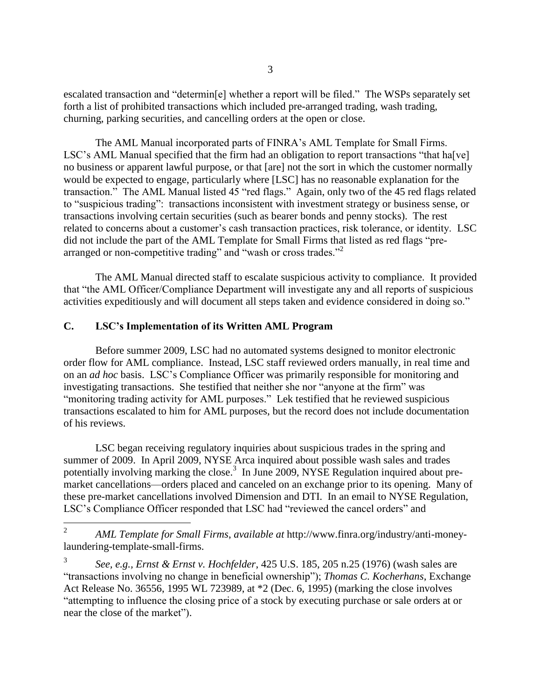escalated transaction and "determin[e] whether a report will be filed." The WSPs separately set forth a list of prohibited transactions which included pre-arranged trading, wash trading, churning, parking securities, and cancelling orders at the open or close.

The AML Manual incorporated parts of FINRA's AML Template for Small Firms. LSC's AML Manual specified that the firm had an obligation to report transactions "that ha<sup>[</sup>ve] no business or apparent lawful purpose, or that [are] not the sort in which the customer normally would be expected to engage, particularly where [LSC] has no reasonable explanation for the transaction." The AML Manual listed 45 "red flags." Again, only two of the 45 red flags related to "suspicious trading": transactions inconsistent with investment strategy or business sense, or transactions involving certain securities (such as bearer bonds and penny stocks). The rest related to concerns about a customer's cash transaction practices, risk tolerance, or identity. LSC did not include the part of the AML Template for Small Firms that listed as red flags "prearranged or non-competitive trading" and "wash or cross trades."<sup>2</sup>

The AML Manual directed staff to escalate suspicious activity to compliance. It provided that "the AML Officer/Compliance Department will investigate any and all reports of suspicious activities expeditiously and will document all steps taken and evidence considered in doing so."

# **C. LSC's Implementation of its Written AML Program**

Before summer 2009, LSC had no automated systems designed to monitor electronic order flow for AML compliance. Instead, LSC staff reviewed orders manually, in real time and on an *ad hoc* basis. LSC's Compliance Officer was primarily responsible for monitoring and investigating transactions. She testified that neither she nor "anyone at the firm" was "monitoring trading activity for AML purposes." Lek testified that he reviewed suspicious transactions escalated to him for AML purposes, but the record does not include documentation of his reviews.

LSC began receiving regulatory inquiries about suspicious trades in the spring and summer of 2009. In April 2009, NYSE Arca inquired about possible wash sales and trades potentially involving marking the close.<sup>3</sup> In June 2009, NYSE Regulation inquired about premarket cancellations—orders placed and canceled on an exchange prior to its opening. Many of these pre-market cancellations involved Dimension and DTI. In an email to NYSE Regulation, LSC's Compliance Officer responded that LSC had "reviewed the cancel orders" and

 $\frac{1}{2}$ *AML Template for Small Firms*, *available at* http://www.finra.org/industry/anti-moneylaundering-template-small-firms.

3 *See, e.g., Ernst & Ernst v. Hochfelder*, 425 U.S. 185, 205 n.25 (1976) (wash sales are "transactions involving no change in beneficial ownership"); *Thomas C. Kocherhans*, Exchange Act Release No. 36556, 1995 WL 723989, at \*2 (Dec. 6, 1995) (marking the close involves "attempting to influence the closing price of a stock by executing purchase or sale orders at or near the close of the market").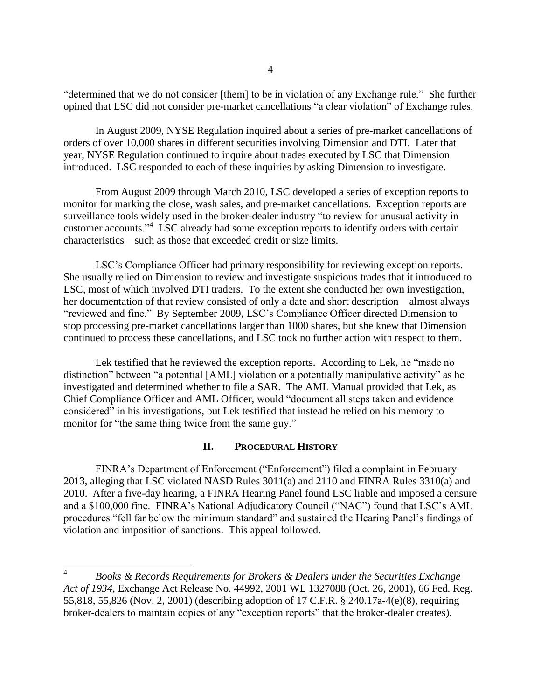"determined that we do not consider [them] to be in violation of any Exchange rule." She further opined that LSC did not consider pre-market cancellations "a clear violation" of Exchange rules.

In August 2009, NYSE Regulation inquired about a series of pre-market cancellations of orders of over 10,000 shares in different securities involving Dimension and DTI. Later that year, NYSE Regulation continued to inquire about trades executed by LSC that Dimension introduced. LSC responded to each of these inquiries by asking Dimension to investigate.

From August 2009 through March 2010, LSC developed a series of exception reports to monitor for marking the close, wash sales, and pre-market cancellations. Exception reports are surveillance tools widely used in the broker-dealer industry "to review for unusual activity in customer accounts."<sup>4</sup> LSC already had some exception reports to identify orders with certain characteristics—such as those that exceeded credit or size limits.

LSC's Compliance Officer had primary responsibility for reviewing exception reports. She usually relied on Dimension to review and investigate suspicious trades that it introduced to LSC, most of which involved DTI traders. To the extent she conducted her own investigation, her documentation of that review consisted of only a date and short description—almost always "reviewed and fine." By September 2009, LSC's Compliance Officer directed Dimension to stop processing pre-market cancellations larger than 1000 shares, but she knew that Dimension continued to process these cancellations, and LSC took no further action with respect to them.

Lek testified that he reviewed the exception reports. According to Lek, he "made no distinction" between "a potential [AML] violation or a potentially manipulative activity" as he investigated and determined whether to file a SAR. The AML Manual provided that Lek, as Chief Compliance Officer and AML Officer, would "document all steps taken and evidence considered" in his investigations, but Lek testified that instead he relied on his memory to monitor for "the same thing twice from the same guy."

#### **II. PROCEDURAL HISTORY**

FINRA's Department of Enforcement ("Enforcement") filed a complaint in February 2013, alleging that LSC violated NASD Rules 3011(a) and 2110 and FINRA Rules 3310(a) and 2010. After a five-day hearing, a FINRA Hearing Panel found LSC liable and imposed a censure and a \$100,000 fine. FINRA's National Adjudicatory Council ("NAC") found that LSC's AML procedures "fell far below the minimum standard" and sustained the Hearing Panel's findings of violation and imposition of sanctions. This appeal followed.

 $\overline{a}$ 

<sup>4</sup> *Books & Records Requirements for Brokers & Dealers under the Securities Exchange Act of 1934*, Exchange Act Release No. 44992, 2001 WL 1327088 (Oct. 26, 2001), 66 Fed. Reg. 55,818, 55,826 (Nov. 2, 2001) (describing adoption of 17 C.F.R. § 240.17a-4(e)(8), requiring broker-dealers to maintain copies of any "exception reports" that the broker-dealer creates).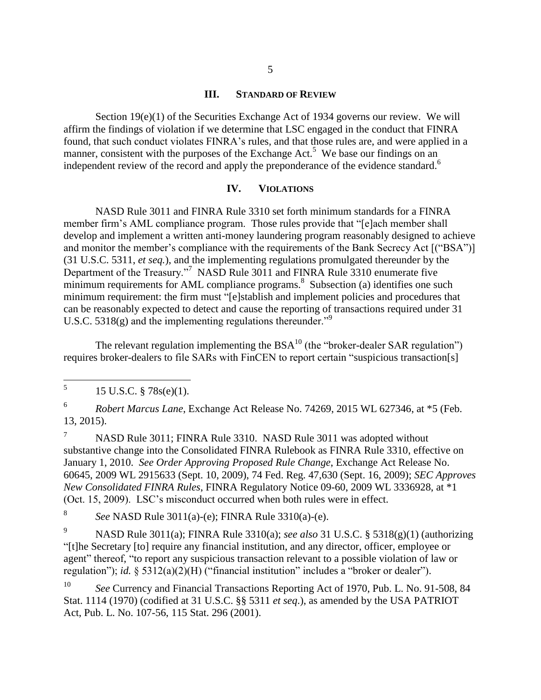#### **III. STANDARD OF REVIEW**

Section 19(e)(1) of the Securities Exchange Act of 1934 governs our review. We will affirm the findings of violation if we determine that LSC engaged in the conduct that FINRA found, that such conduct violates FINRA's rules, and that those rules are, and were applied in a manner, consistent with the purposes of the Exchange Act.<sup>5</sup> We base our findings on an independent review of the record and apply the preponderance of the evidence standard.<sup>6</sup>

#### **IV. VIOLATIONS**

NASD Rule 3011 and FINRA Rule 3310 set forth minimum standards for a FINRA member firm's AML compliance program. Those rules provide that "[e]ach member shall develop and implement a written anti-money laundering program reasonably designed to achieve and monitor the member's compliance with the requirements of the Bank Secrecy Act [("BSA")] (31 U.S.C. 5311, *et seq.*), and the implementing regulations promulgated thereunder by the Department of the Treasury."<sup>7</sup> NASD Rule 3011 and FINRA Rule 3310 enumerate five minimum requirements for AML compliance programs.<sup>8</sup> Subsection (a) identifies one such minimum requirement: the firm must "[e]stablish and implement policies and procedures that can be reasonably expected to detect and cause the reporting of transactions required under 31 U.S.C. 5318(g) and the implementing regulations thereunder."<sup>9</sup>

The relevant regulation implementing the  $BSA<sup>10</sup>$  (the "broker-dealer SAR regulation") requires broker-dealers to file SARs with FinCEN to report certain "suspicious transaction[s]

6 *Robert Marcus Lane*, Exchange Act Release No. 74269, 2015 WL 627346, at \*5 (Feb. 13, 2015).

<sup>7</sup> NASD Rule 3011; FINRA Rule 3310. NASD Rule 3011 was adopted without substantive change into the Consolidated FINRA Rulebook as FINRA Rule 3310, effective on January 1, 2010. *See Order Approving Proposed Rule Change*, Exchange Act Release No. 60645, 2009 WL 2915633 (Sept. 10, 2009), 74 Fed. Reg. 47,630 (Sept. 16, 2009); *SEC Approves New Consolidated FINRA Rules*, FINRA Regulatory Notice 09-60, 2009 WL 3336928, at \*1 (Oct. 15, 2009). LSC's misconduct occurred when both rules were in effect.

8 *See* NASD Rule 3011(a)-(e); FINRA Rule 3310(a)-(e).

<sup>9</sup> NASD Rule 3011(a); FINRA Rule 3310(a); *see also* 31 U.S.C. § 5318(g)(1) (authorizing "[t]he Secretary [to] require any financial institution, and any director, officer, employee or agent" thereof, "to report any suspicious transaction relevant to a possible violation of law or regulation"); *id.* § 5312(a)(2)(H) ("financial institution" includes a "broker or dealer").

<sup>10</sup> *See* Currency and Financial Transactions Reporting Act of 1970, Pub. L. No. 91-508, 84 Stat. 1114 (1970) (codified at 31 U.S.C. §§ 5311 *et seq*.), as amended by the USA PATRIOT Act, Pub. L. No. 107-56, 115 Stat. 296 (2001).

 5 15 U.S.C. § 78s(e)(1).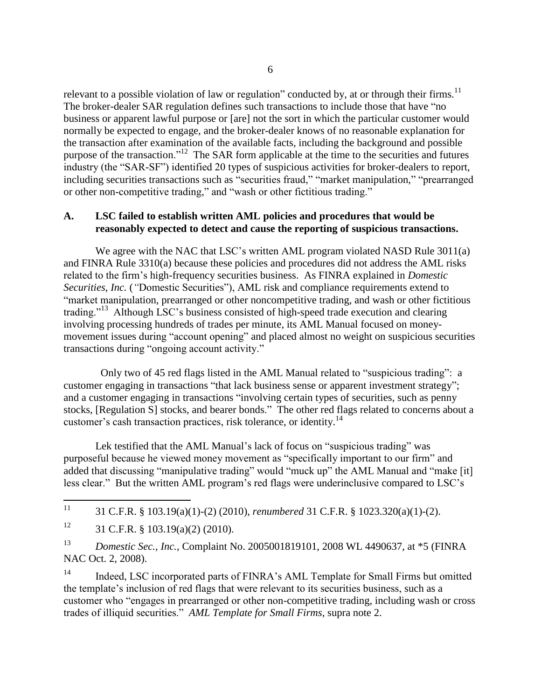relevant to a possible violation of law or regulation" conducted by, at or through their firms.<sup>11</sup> The broker-dealer SAR regulation defines such transactions to include those that have "no business or apparent lawful purpose or [are] not the sort in which the particular customer would normally be expected to engage, and the broker-dealer knows of no reasonable explanation for the transaction after examination of the available facts, including the background and possible purpose of the transaction."<sup>12</sup> The SAR form applicable at the time to the securities and futures industry (the "SAR-SF") identified 20 types of suspicious activities for broker-dealers to report, including securities transactions such as "securities fraud," "market manipulation," "prearranged or other non-competitive trading," and "wash or other fictitious trading."

# **A. LSC failed to establish written AML policies and procedures that would be reasonably expected to detect and cause the reporting of suspicious transactions.**

We agree with the NAC that LSC's written AML program violated NASD Rule 3011(a) and FINRA Rule 3310(a) because these policies and procedures did not address the AML risks related to the firm's high-frequency securities business. As FINRA explained in *Domestic Securities*, *Inc.* (*"*Domestic Securities"), AML risk and compliance requirements extend to "market manipulation, prearranged or other noncompetitive trading, and wash or other fictitious trading."<sup>13</sup> Although LSC's business consisted of high-speed trade execution and clearing involving processing hundreds of trades per minute, its AML Manual focused on moneymovement issues during "account opening" and placed almost no weight on suspicious securities transactions during "ongoing account activity."

 Only two of 45 red flags listed in the AML Manual related to "suspicious trading": a customer engaging in transactions "that lack business sense or apparent investment strategy"; and a customer engaging in transactions "involving certain types of securities, such as penny stocks, [Regulation S] stocks, and bearer bonds." The other red flags related to concerns about a customer's cash transaction practices, risk tolerance, or identity.<sup>14</sup>

Lek testified that the AML Manual's lack of focus on "suspicious trading" was purposeful because he viewed money movement as "specifically important to our firm" and added that discussing "manipulative trading" would "muck up" the AML Manual and "make [it] less clear." But the written AML program's red flags were underinclusive compared to LSC's

<sup>14</sup> Indeed, LSC incorporated parts of FINRA's AML Template for Small Firms but omitted the template's inclusion of red flags that were relevant to its securities business, such as a customer who "engages in prearranged or other non-competitive trading, including wash or cross trades of illiquid securities." *AML Template for Small Firms*, supra note 2.

 $11$ <sup>11</sup> 31 C.F.R. § 103.19(a)(1)-(2) (2010), *renumbered* 31 C.F.R. § 1023.320(a)(1)-(2).

<sup>&</sup>lt;sup>12</sup> 31 C.F.R. § 103.19(a)(2) (2010).

<sup>13</sup> *Domestic Sec., Inc.*, Complaint No. 2005001819101, 2008 WL 4490637, at \*5 (FINRA NAC Oct. 2, 2008).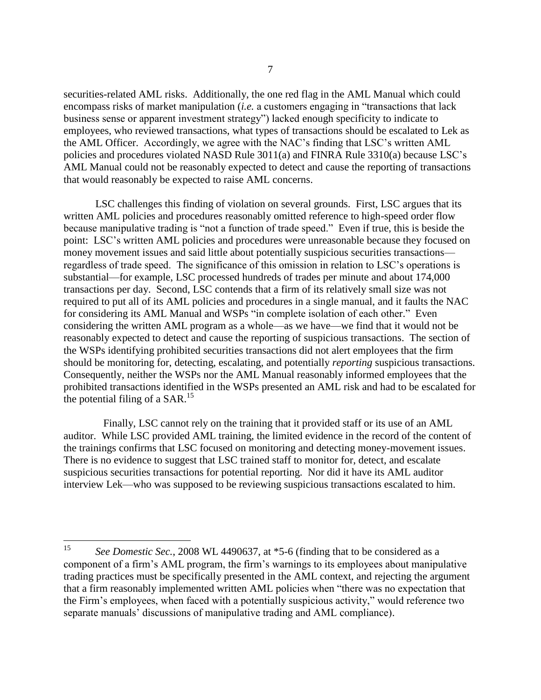securities-related AML risks. Additionally, the one red flag in the AML Manual which could encompass risks of market manipulation (*i.e.* a customers engaging in "transactions that lack business sense or apparent investment strategy") lacked enough specificity to indicate to employees, who reviewed transactions, what types of transactions should be escalated to Lek as the AML Officer. Accordingly, we agree with the NAC's finding that LSC's written AML policies and procedures violated NASD Rule 3011(a) and FINRA Rule 3310(a) because LSC's AML Manual could not be reasonably expected to detect and cause the reporting of transactions that would reasonably be expected to raise AML concerns.

LSC challenges this finding of violation on several grounds. First, LSC argues that its written AML policies and procedures reasonably omitted reference to high-speed order flow because manipulative trading is "not a function of trade speed." Even if true, this is beside the point: LSC's written AML policies and procedures were unreasonable because they focused on money movement issues and said little about potentially suspicious securities transactions regardless of trade speed. The significance of this omission in relation to LSC's operations is substantial—for example, LSC processed hundreds of trades per minute and about 174,000 transactions per day. Second, LSC contends that a firm of its relatively small size was not required to put all of its AML policies and procedures in a single manual, and it faults the NAC for considering its AML Manual and WSPs "in complete isolation of each other." Even considering the written AML program as a whole—as we have—we find that it would not be reasonably expected to detect and cause the reporting of suspicious transactions. The section of the WSPs identifying prohibited securities transactions did not alert employees that the firm should be monitoring for, detecting, escalating, and potentially *reporting* suspicious transactions. Consequently, neither the WSPs nor the AML Manual reasonably informed employees that the prohibited transactions identified in the WSPs presented an AML risk and had to be escalated for the potential filing of a  $SAR$ .<sup>15</sup>

Finally, LSC cannot rely on the training that it provided staff or its use of an AML auditor. While LSC provided AML training, the limited evidence in the record of the content of the trainings confirms that LSC focused on monitoring and detecting money-movement issues. There is no evidence to suggest that LSC trained staff to monitor for, detect, and escalate suspicious securities transactions for potential reporting. Nor did it have its AML auditor interview Lek—who was supposed to be reviewing suspicious transactions escalated to him.

<sup>15</sup> <sup>15</sup> *See Domestic Sec.*, 2008 WL 4490637, at \*5-6 (finding that to be considered as a component of a firm's AML program, the firm's warnings to its employees about manipulative trading practices must be specifically presented in the AML context, and rejecting the argument that a firm reasonably implemented written AML policies when "there was no expectation that the Firm's employees, when faced with a potentially suspicious activity," would reference two separate manuals' discussions of manipulative trading and AML compliance).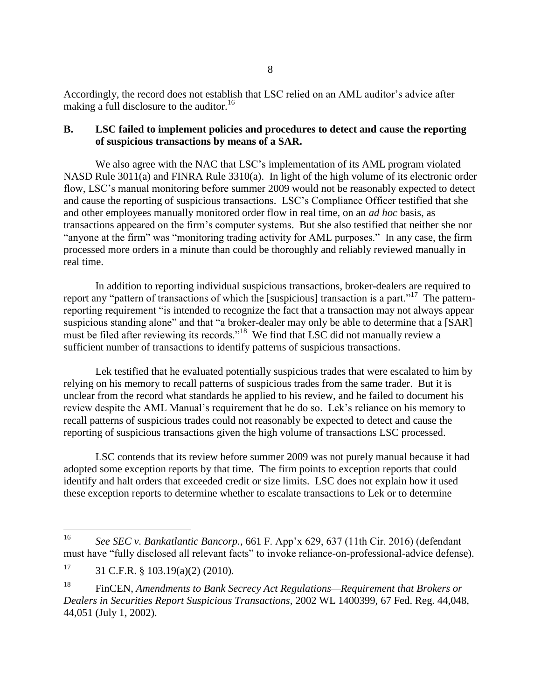Accordingly, the record does not establish that LSC relied on an AML auditor's advice after making a full disclosure to the auditor.<sup>16</sup>

# **B. LSC failed to implement policies and procedures to detect and cause the reporting of suspicious transactions by means of a SAR.**

We also agree with the NAC that LSC's implementation of its AML program violated NASD Rule 3011(a) and FINRA Rule 3310(a). In light of the high volume of its electronic order flow, LSC's manual monitoring before summer 2009 would not be reasonably expected to detect and cause the reporting of suspicious transactions. LSC's Compliance Officer testified that she and other employees manually monitored order flow in real time, on an *ad hoc* basis, as transactions appeared on the firm's computer systems. But she also testified that neither she nor "anyone at the firm" was "monitoring trading activity for AML purposes." In any case, the firm processed more orders in a minute than could be thoroughly and reliably reviewed manually in real time.

In addition to reporting individual suspicious transactions, broker-dealers are required to report any "pattern of transactions of which the [suspicious] transaction is a part."<sup>17</sup> The patternreporting requirement "is intended to recognize the fact that a transaction may not always appear suspicious standing alone" and that "a broker-dealer may only be able to determine that a [SAR] must be filed after reviewing its records."<sup>18</sup> We find that LSC did not manually review a sufficient number of transactions to identify patterns of suspicious transactions.

Lek testified that he evaluated potentially suspicious trades that were escalated to him by relying on his memory to recall patterns of suspicious trades from the same trader. But it is unclear from the record what standards he applied to his review, and he failed to document his review despite the AML Manual's requirement that he do so. Lek's reliance on his memory to recall patterns of suspicious trades could not reasonably be expected to detect and cause the reporting of suspicious transactions given the high volume of transactions LSC processed.

LSC contends that its review before summer 2009 was not purely manual because it had adopted some exception reports by that time. The firm points to exception reports that could identify and halt orders that exceeded credit or size limits. LSC does not explain how it used these exception reports to determine whether to escalate transactions to Lek or to determine

<sup>16</sup> <sup>16</sup> *See SEC v. Bankatlantic Bancorp.*, 661 F. App'x 629, 637 (11th Cir. 2016) (defendant must have "fully disclosed all relevant facts" to invoke reliance-on-professional-advice defense).

 $17$  31 C.F.R. § 103.19(a)(2) (2010).

<sup>18</sup> FinCEN, *Amendments to Bank Secrecy Act Regulations—Requirement that Brokers or Dealers in Securities Report Suspicious Transactions*, 2002 WL 1400399, 67 Fed. Reg. 44,048, 44,051 (July 1, 2002).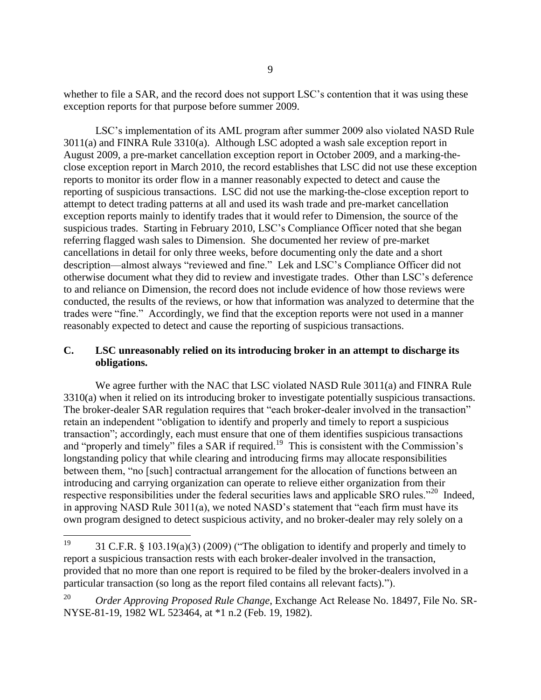whether to file a SAR, and the record does not support LSC's contention that it was using these exception reports for that purpose before summer 2009.

LSC's implementation of its AML program after summer 2009 also violated NASD Rule 3011(a) and FINRA Rule 3310(a). Although LSC adopted a wash sale exception report in August 2009, a pre-market cancellation exception report in October 2009, and a marking-theclose exception report in March 2010, the record establishes that LSC did not use these exception reports to monitor its order flow in a manner reasonably expected to detect and cause the reporting of suspicious transactions. LSC did not use the marking-the-close exception report to attempt to detect trading patterns at all and used its wash trade and pre-market cancellation exception reports mainly to identify trades that it would refer to Dimension, the source of the suspicious trades. Starting in February 2010, LSC's Compliance Officer noted that she began referring flagged wash sales to Dimension. She documented her review of pre-market cancellations in detail for only three weeks, before documenting only the date and a short description—almost always "reviewed and fine." Lek and LSC's Compliance Officer did not otherwise document what they did to review and investigate trades. Other than LSC's deference to and reliance on Dimension, the record does not include evidence of how those reviews were conducted, the results of the reviews, or how that information was analyzed to determine that the trades were "fine." Accordingly, we find that the exception reports were not used in a manner reasonably expected to detect and cause the reporting of suspicious transactions.

# **C. LSC unreasonably relied on its introducing broker in an attempt to discharge its obligations.**

We agree further with the NAC that LSC violated NASD Rule 3011(a) and FINRA Rule 3310(a) when it relied on its introducing broker to investigate potentially suspicious transactions. The broker-dealer SAR regulation requires that "each broker-dealer involved in the transaction" retain an independent "obligation to identify and properly and timely to report a suspicious transaction"; accordingly, each must ensure that one of them identifies suspicious transactions and "properly and timely" files a SAR if required.<sup>19</sup> This is consistent with the Commission's longstanding policy that while clearing and introducing firms may allocate responsibilities between them, "no [such] contractual arrangement for the allocation of functions between an introducing and carrying organization can operate to relieve either organization from their respective responsibilities under the federal securities laws and applicable SRO rules."<sup>20</sup> Indeed, in approving NASD Rule 3011(a), we noted NASD's statement that "each firm must have its own program designed to detect suspicious activity, and no broker-dealer may rely solely on a

<sup>19</sup> 31 C.F.R.  $\S$  103.19(a)(3) (2009) ("The obligation to identify and properly and timely to report a suspicious transaction rests with each broker-dealer involved in the transaction, provided that no more than one report is required to be filed by the broker-dealers involved in a particular transaction (so long as the report filed contains all relevant facts).").

<sup>20</sup> *Order Approving Proposed Rule Change*, Exchange Act Release No. 18497, File No. SR-NYSE-81-19, 1982 WL 523464, at \*1 n.2 (Feb. 19, 1982).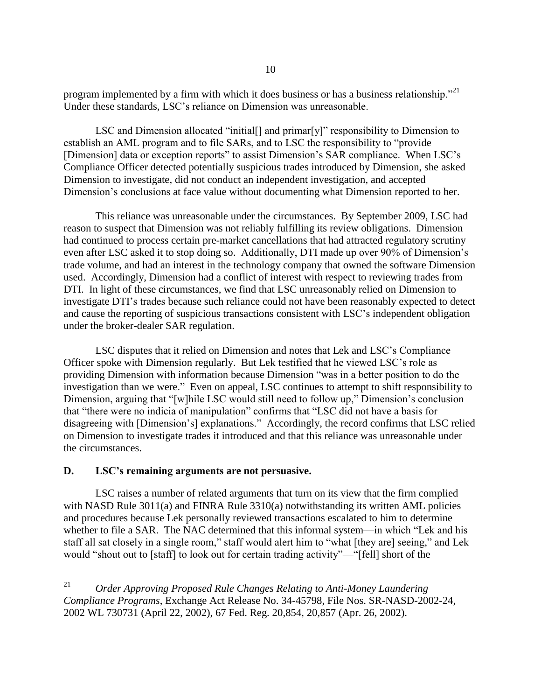program implemented by a firm with which it does business or has a business relationship.<sup>"21</sup> Under these standards, LSC's reliance on Dimension was unreasonable.

LSC and Dimension allocated "initial[] and primar[y]" responsibility to Dimension to establish an AML program and to file SARs, and to LSC the responsibility to "provide [Dimension] data or exception reports" to assist Dimension's SAR compliance. When LSC's Compliance Officer detected potentially suspicious trades introduced by Dimension, she asked Dimension to investigate, did not conduct an independent investigation, and accepted Dimension's conclusions at face value without documenting what Dimension reported to her.

This reliance was unreasonable under the circumstances. By September 2009, LSC had reason to suspect that Dimension was not reliably fulfilling its review obligations. Dimension had continued to process certain pre-market cancellations that had attracted regulatory scrutiny even after LSC asked it to stop doing so. Additionally, DTI made up over 90% of Dimension's trade volume, and had an interest in the technology company that owned the software Dimension used. Accordingly, Dimension had a conflict of interest with respect to reviewing trades from DTI. In light of these circumstances, we find that LSC unreasonably relied on Dimension to investigate DTI's trades because such reliance could not have been reasonably expected to detect and cause the reporting of suspicious transactions consistent with LSC's independent obligation under the broker-dealer SAR regulation.

LSC disputes that it relied on Dimension and notes that Lek and LSC's Compliance Officer spoke with Dimension regularly. But Lek testified that he viewed LSC's role as providing Dimension with information because Dimension "was in a better position to do the investigation than we were." Even on appeal, LSC continues to attempt to shift responsibility to Dimension, arguing that "[w]hile LSC would still need to follow up," Dimension's conclusion that "there were no indicia of manipulation" confirms that "LSC did not have a basis for disagreeing with [Dimension's] explanations." Accordingly, the record confirms that LSC relied on Dimension to investigate trades it introduced and that this reliance was unreasonable under the circumstances.

#### **D. LSC's remaining arguments are not persuasive.**

LSC raises a number of related arguments that turn on its view that the firm complied with NASD Rule 3011(a) and FINRA Rule 3310(a) notwithstanding its written AML policies and procedures because Lek personally reviewed transactions escalated to him to determine whether to file a SAR. The NAC determined that this informal system—in which "Lek and his staff all sat closely in a single room," staff would alert him to "what [they are] seeing," and Lek would "shout out to [staff] to look out for certain trading activity"—"[fell] short of the

<sup>21</sup> <sup>21</sup> *Order Approving Proposed Rule Changes Relating to Anti-Money Laundering Compliance Programs*, Exchange Act Release No. 34-45798, File Nos. SR-NASD-2002-24, 2002 WL 730731 (April 22, 2002), 67 Fed. Reg. 20,854, 20,857 (Apr. 26, 2002).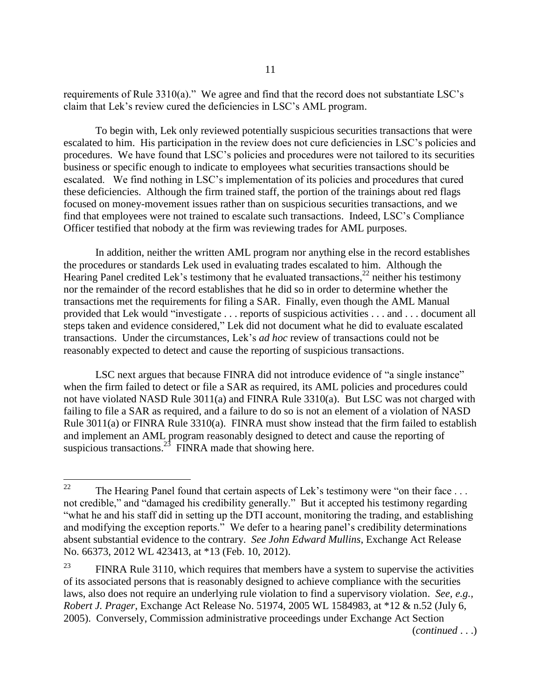requirements of Rule 3310(a)." We agree and find that the record does not substantiate LSC's claim that Lek's review cured the deficiencies in LSC's AML program.

To begin with, Lek only reviewed potentially suspicious securities transactions that were escalated to him. His participation in the review does not cure deficiencies in LSC's policies and procedures. We have found that LSC's policies and procedures were not tailored to its securities business or specific enough to indicate to employees what securities transactions should be escalated. We find nothing in LSC's implementation of its policies and procedures that cured these deficiencies. Although the firm trained staff, the portion of the trainings about red flags focused on money-movement issues rather than on suspicious securities transactions, and we find that employees were not trained to escalate such transactions. Indeed, LSC's Compliance Officer testified that nobody at the firm was reviewing trades for AML purposes.

In addition, neither the written AML program nor anything else in the record establishes the procedures or standards Lek used in evaluating trades escalated to him. Although the Hearing Panel credited Lek's testimony that he evaluated transactions,  $^{22}$  neither his testimony nor the remainder of the record establishes that he did so in order to determine whether the transactions met the requirements for filing a SAR. Finally, even though the AML Manual provided that Lek would "investigate . . . reports of suspicious activities . . . and . . . document all steps taken and evidence considered," Lek did not document what he did to evaluate escalated transactions. Under the circumstances, Lek's *ad hoc* review of transactions could not be reasonably expected to detect and cause the reporting of suspicious transactions.

LSC next argues that because FINRA did not introduce evidence of "a single instance" when the firm failed to detect or file a SAR as required, its AML policies and procedures could not have violated NASD Rule 3011(a) and FINRA Rule 3310(a). But LSC was not charged with failing to file a SAR as required, and a failure to do so is not an element of a violation of NASD Rule 3011(a) or FINRA Rule 3310(a). FINRA must show instead that the firm failed to establish and implement an AML program reasonably designed to detect and cause the reporting of suspicious transactions.<sup>23</sup> FINRA made that showing here.

(*continued* . . .)

<sup>22</sup> The Hearing Panel found that certain aspects of Lek's testimony were "on their face . . . not credible," and "damaged his credibility generally." But it accepted his testimony regarding "what he and his staff did in setting up the DTI account, monitoring the trading, and establishing and modifying the exception reports." We defer to a hearing panel's credibility determinations absent substantial evidence to the contrary. *See John Edward Mullins*, Exchange Act Release No. 66373, 2012 WL 423413, at \*13 (Feb. 10, 2012).

 $23$  FINRA Rule 3110, which requires that members have a system to supervise the activities of its associated persons that is reasonably designed to achieve compliance with the securities laws, also does not require an underlying rule violation to find a supervisory violation. *See, e.g., Robert J. Prager*, Exchange Act Release No. 51974, 2005 WL 1584983, at \*12 & n.52 (July 6, 2005). Conversely, Commission administrative proceedings under Exchange Act Section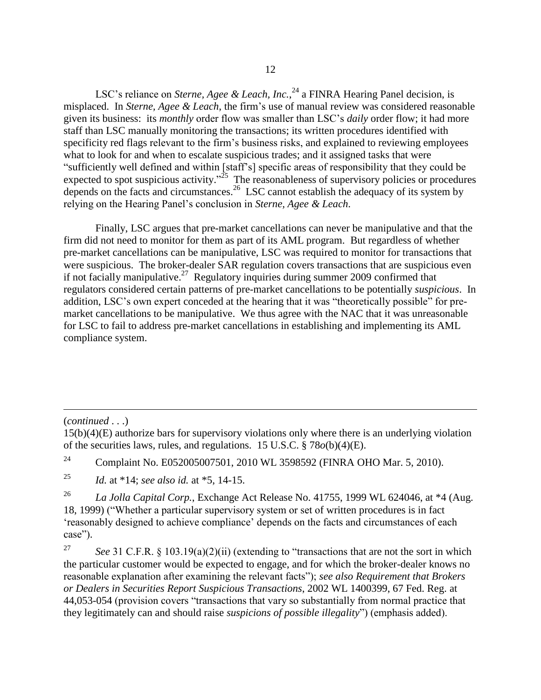LSC's reliance on *Sterne, Agee & Leach, Inc.*, <sup>24</sup> a FINRA Hearing Panel decision, is misplaced. In *Sterne, Agee & Leach*, the firm's use of manual review was considered reasonable given its business: its *monthly* order flow was smaller than LSC's *daily* order flow; it had more staff than LSC manually monitoring the transactions; its written procedures identified with specificity red flags relevant to the firm's business risks, and explained to reviewing employees what to look for and when to escalate suspicious trades; and it assigned tasks that were "sufficiently well defined and within [staff's] specific areas of responsibility that they could be expected to spot suspicious activity."<sup>25</sup> The reasonableness of supervisory policies or procedures depends on the facts and circumstances.<sup>26</sup> LSC cannot establish the adequacy of its system by relying on the Hearing Panel's conclusion in *Sterne, Agee & Leach*.

Finally, LSC argues that pre-market cancellations can never be manipulative and that the firm did not need to monitor for them as part of its AML program. But regardless of whether pre-market cancellations can be manipulative, LSC was required to monitor for transactions that were suspicious. The broker-dealer SAR regulation covers transactions that are suspicious even if not facially manipulative.<sup>27</sup> Regulatory inquiries during summer 2009 confirmed that regulators considered certain patterns of pre-market cancellations to be potentially *suspicious*. In addition, LSC's own expert conceded at the hearing that it was "theoretically possible" for premarket cancellations to be manipulative. We thus agree with the NAC that it was unreasonable for LSC to fail to address pre-market cancellations in establishing and implementing its AML compliance system.

(*continued* . . .)

 $\overline{a}$ 

<sup>25</sup> *Id.* at \*14; *see also id.* at \*5, 14-15.

<sup>26</sup> *La Jolla Capital Corp.*, Exchange Act Release No. 41755, 1999 WL 624046, at \*4 (Aug. 18, 1999) ("Whether a particular supervisory system or set of written procedures is in fact 'reasonably designed to achieve compliance' depends on the facts and circumstances of each case").

<sup>27</sup> *See* 31 C.F.R. § 103.19(a)(2)(ii) (extending to "transactions that are not the sort in which the particular customer would be expected to engage, and for which the broker-dealer knows no reasonable explanation after examining the relevant facts"); *see also Requirement that Brokers or Dealers in Securities Report Suspicious Transactions*, 2002 WL 1400399, 67 Fed. Reg. at 44,053-054 (provision covers "transactions that vary so substantially from normal practice that they legitimately can and should raise *suspicions of possible illegality*") (emphasis added).

<sup>15(</sup>b)(4)(E) authorize bars for supervisory violations only where there is an underlying violation of the securities laws, rules, and regulations. 15 U.S.C. § 78*o*(b)(4)(E).

<sup>&</sup>lt;sup>24</sup> Complaint No. E052005007501, 2010 WL 3598592 (FINRA OHO Mar. 5, 2010).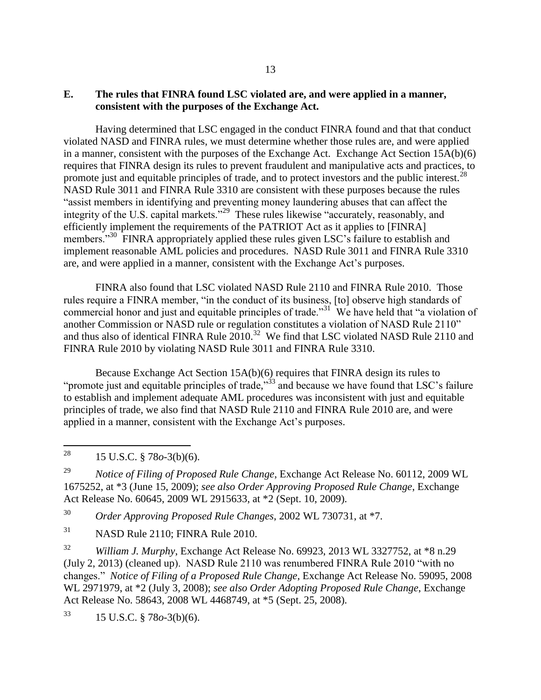# **E. The rules that FINRA found LSC violated are, and were applied in a manner, consistent with the purposes of the Exchange Act.**

Having determined that LSC engaged in the conduct FINRA found and that that conduct violated NASD and FINRA rules, we must determine whether those rules are, and were applied in a manner, consistent with the purposes of the Exchange Act. Exchange Act Section 15A(b)(6) requires that FINRA design its rules to prevent fraudulent and manipulative acts and practices, to promote just and equitable principles of trade, and to protect investors and the public interest.<sup>28</sup> NASD Rule 3011 and FINRA Rule 3310 are consistent with these purposes because the rules "assist members in identifying and preventing money laundering abuses that can affect the integrity of the U.S. capital markets."<sup>29</sup> These rules likewise "accurately, reasonably, and efficiently implement the requirements of the PATRIOT Act as it applies to [FINRA] members."<sup>30</sup> FINRA appropriately applied these rules given LSC's failure to establish and implement reasonable AML policies and procedures. NASD Rule 3011 and FINRA Rule 3310 are, and were applied in a manner, consistent with the Exchange Act's purposes.

FINRA also found that LSC violated NASD Rule 2110 and FINRA Rule 2010. Those rules require a FINRA member, "in the conduct of its business, [to] observe high standards of commercial honor and just and equitable principles of trade.<sup>31</sup> We have held that "a violation of another Commission or NASD rule or regulation constitutes a violation of NASD Rule 2110" and thus also of identical FINRA Rule  $2010$ <sup>32</sup> We find that LSC violated NASD Rule 2110 and FINRA Rule 2010 by violating NASD Rule 3011 and FINRA Rule 3310.

Because Exchange Act Section 15A(b)(6) requires that FINRA design its rules to "promote just and equitable principles of trade,"<sup>33</sup> and because we have found that LSC's failure to establish and implement adequate AML procedures was inconsistent with just and equitable principles of trade, we also find that NASD Rule 2110 and FINRA Rule 2010 are, and were applied in a manner, consistent with the Exchange Act's purposes.

28 <sup>28</sup> 15 U.S.C. § 78*o*-3(b)(6).

<sup>29</sup> *Notice of Filing of Proposed Rule Change*, Exchange Act Release No. 60112, 2009 WL 1675252, at \*3 (June 15, 2009); *see also Order Approving Proposed Rule Change*, Exchange Act Release No. 60645, 2009 WL 2915633, at \*2 (Sept. 10, 2009).

<sup>30</sup> *Order Approving Proposed Rule Changes*, 2002 WL 730731, at \*7.

<sup>31</sup> NASD Rule 2110; FINRA Rule 2010.

<sup>32</sup> *William J. Murphy*, Exchange Act Release No. 69923, 2013 WL 3327752, at \*8 n.29 (July 2, 2013) (cleaned up). NASD Rule 2110 was renumbered FINRA Rule 2010 "with no changes." *Notice of Filing of a Proposed Rule Change*, Exchange Act Release No. 59095, 2008 WL 2971979, at \*2 (July 3, 2008); *see also Order Adopting Proposed Rule Change*, Exchange Act Release No. 58643, 2008 WL 4468749, at \*5 (Sept. 25, 2008).

<sup>33</sup> 15 U.S.C. § 78*o*-3(b)(6).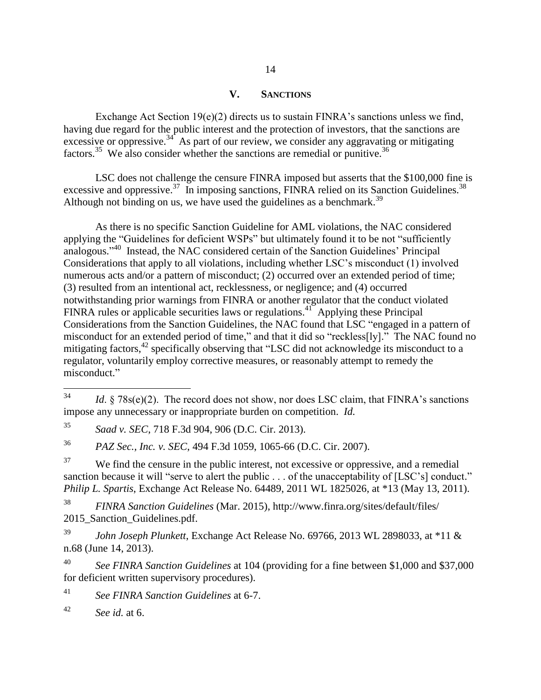# **V. SANCTIONS**

Exchange Act Section 19(e)(2) directs us to sustain FINRA's sanctions unless we find, having due regard for the public interest and the protection of investors, that the sanctions are excessive or oppressive.<sup>34</sup> As part of our review, we consider any aggravating or mitigating factors.<sup>35</sup> We also consider whether the sanctions are remedial or punitive.<sup>36</sup>

LSC does not challenge the censure FINRA imposed but asserts that the \$100,000 fine is excessive and oppressive.<sup>37</sup> In imposing sanctions, FINRA relied on its Sanction Guidelines.<sup>38</sup> Although not binding on us, we have used the guidelines as a benchmark.<sup>39</sup>

As there is no specific Sanction Guideline for AML violations, the NAC considered applying the "Guidelines for deficient WSPs" but ultimately found it to be not "sufficiently analogous."<sup>40</sup> Instead, the NAC considered certain of the Sanction Guidelines' Principal Considerations that apply to all violations, including whether LSC's misconduct (1) involved numerous acts and/or a pattern of misconduct; (2) occurred over an extended period of time; (3) resulted from an intentional act, recklessness, or negligence; and (4) occurred notwithstanding prior warnings from FINRA or another regulator that the conduct violated FINRA rules or applicable securities laws or regulations.<sup>41</sup> Applying these Principal Considerations from the Sanction Guidelines, the NAC found that LSC "engaged in a pattern of misconduct for an extended period of time," and that it did so "reckless[ly]." The NAC found no mitigating factors,<sup>42</sup> specifically observing that "LSC did not acknowledge its misconduct to a regulator, voluntarily employ corrective measures, or reasonably attempt to remedy the misconduct."

<sup>38</sup> *FINRA Sanction Guidelines* (Mar. 2015), http://www.finra.org/sites/default/files/ 2015 Sanction Guidelines.pdf.

<sup>39</sup> *John Joseph Plunkett*, Exchange Act Release No. 69766, 2013 WL 2898033, at \*11 & n.68 (June 14, 2013).

<sup>40</sup> *See FINRA Sanction Guidelines* at 104 (providing for a fine between \$1,000 and \$37,000 for deficient written supervisory procedures).

<sup>41</sup> *See FINRA Sanction Guidelines* at 6-7.

<sup>42</sup> *See id.* at 6.

<sup>34</sup> Id. § 78s(e)(2). The record does not show, nor does LSC claim, that FINRA's sanctions impose any unnecessary or inappropriate burden on competition. *Id.*

<sup>35</sup> *Saad v. SEC*, 718 F.3d 904, 906 (D.C. Cir. 2013).

<sup>36</sup> *PAZ Sec., Inc. v. SEC*, 494 F.3d 1059, 1065-66 (D.C. Cir. 2007).

<sup>&</sup>lt;sup>37</sup> We find the censure in the public interest, not excessive or oppressive, and a remedial sanction because it will "serve to alert the public . . . of the unacceptability of [LSC's] conduct." *Philip L. Spartis*, Exchange Act Release No. 64489, 2011 WL 1825026, at \*13 (May 13, 2011).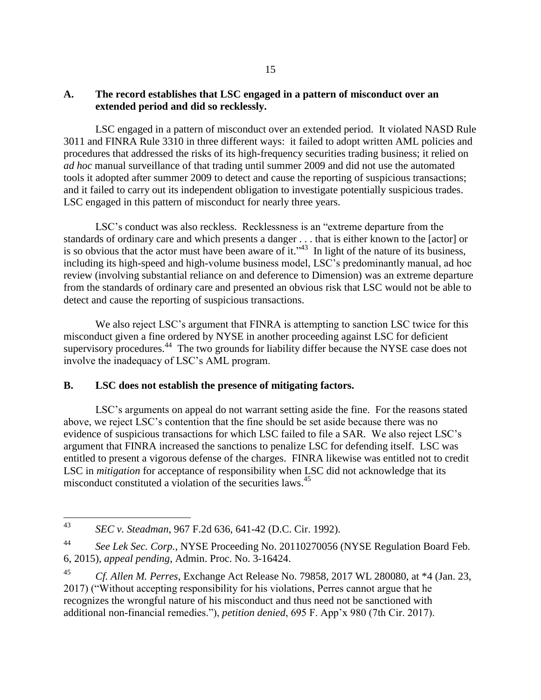# **A. The record establishes that LSC engaged in a pattern of misconduct over an extended period and did so recklessly.**

LSC engaged in a pattern of misconduct over an extended period. It violated NASD Rule 3011 and FINRA Rule 3310 in three different ways: it failed to adopt written AML policies and procedures that addressed the risks of its high-frequency securities trading business; it relied on *ad hoc* manual surveillance of that trading until summer 2009 and did not use the automated tools it adopted after summer 2009 to detect and cause the reporting of suspicious transactions; and it failed to carry out its independent obligation to investigate potentially suspicious trades. LSC engaged in this pattern of misconduct for nearly three years.

LSC's conduct was also reckless. Recklessness is an "extreme departure from the standards of ordinary care and which presents a danger . . . that is either known to the [actor] or is so obvious that the actor must have been aware of it.<sup>343</sup> In light of the nature of its business, including its high-speed and high-volume business model, LSC's predominantly manual, ad hoc review (involving substantial reliance on and deference to Dimension) was an extreme departure from the standards of ordinary care and presented an obvious risk that LSC would not be able to detect and cause the reporting of suspicious transactions.

We also reject LSC's argument that FINRA is attempting to sanction LSC twice for this misconduct given a fine ordered by NYSE in another proceeding against LSC for deficient supervisory procedures.<sup>44</sup> The two grounds for liability differ because the NYSE case does not involve the inadequacy of LSC's AML program.

# **B. LSC does not establish the presence of mitigating factors.**

LSC's arguments on appeal do not warrant setting aside the fine. For the reasons stated above, we reject LSC's contention that the fine should be set aside because there was no evidence of suspicious transactions for which LSC failed to file a SAR. We also reject LSC's argument that FINRA increased the sanctions to penalize LSC for defending itself. LSC was entitled to present a vigorous defense of the charges. FINRA likewise was entitled not to credit LSC in *mitigation* for acceptance of responsibility when LSC did not acknowledge that its misconduct constituted a violation of the securities laws.<sup>45</sup>

<sup>43</sup> <sup>43</sup> *SEC v. Steadman*, 967 F.2d 636, 641-42 (D.C. Cir. 1992).

<sup>44</sup> *See Lek Sec. Corp.*, NYSE Proceeding No. 20110270056 (NYSE Regulation Board Feb. 6, 2015), *appeal pending*, Admin. Proc. No. 3-16424.

<sup>45</sup> *Cf. Allen M. Perres*, Exchange Act Release No. 79858, 2017 WL 280080, at \*4 (Jan. 23, 2017) ("Without accepting responsibility for his violations, Perres cannot argue that he recognizes the wrongful nature of his misconduct and thus need not be sanctioned with additional non-financial remedies."), *petition denied*, 695 F. App'x 980 (7th Cir. 2017).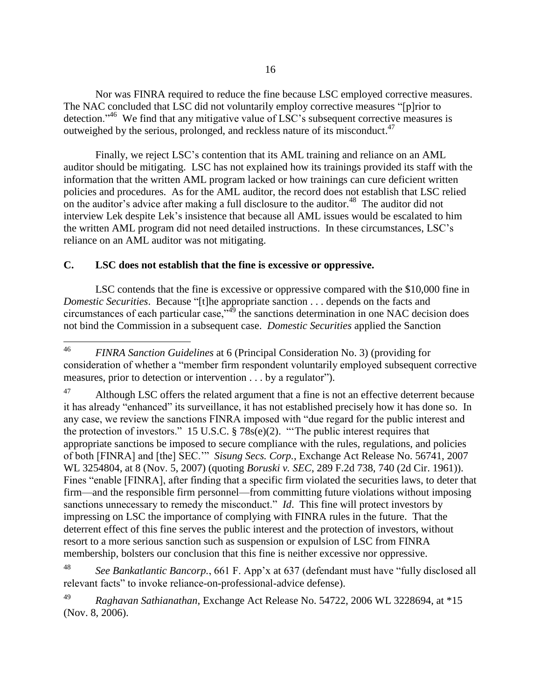Nor was FINRA required to reduce the fine because LSC employed corrective measures. The NAC concluded that LSC did not voluntarily employ corrective measures "[p]rior to detection."<sup>46</sup> We find that any mitigative value of LSC's subsequent corrective measures is outweighed by the serious, prolonged, and reckless nature of its misconduct.<sup>47</sup>

Finally, we reject LSC's contention that its AML training and reliance on an AML auditor should be mitigating. LSC has not explained how its trainings provided its staff with the information that the written AML program lacked or how trainings can cure deficient written policies and procedures. As for the AML auditor, the record does not establish that LSC relied on the auditor's advice after making a full disclosure to the auditor.<sup>48</sup> The auditor did not interview Lek despite Lek's insistence that because all AML issues would be escalated to him the written AML program did not need detailed instructions. In these circumstances, LSC's reliance on an AML auditor was not mitigating.

# **C. LSC does not establish that the fine is excessive or oppressive.**

LSC contends that the fine is excessive or oppressive compared with the \$10,000 fine in *Domestic Securities*. Because "[t]he appropriate sanction . . . depends on the facts and circumstances of each particular case,"<sup>49</sup> the sanctions determination in one NAC decision does not bind the Commission in a subsequent case. *Domestic Securities* applied the Sanction

 $46<sup>°</sup>$ <sup>46</sup> *FINRA Sanction Guidelines* at 6 (Principal Consideration No. 3) (providing for consideration of whether a "member firm respondent voluntarily employed subsequent corrective measures, prior to detection or intervention . . . by a regulator").

 $47$  Although LSC offers the related argument that a fine is not an effective deterrent because it has already "enhanced" its surveillance, it has not established precisely how it has done so. In any case, we review the sanctions FINRA imposed with "due regard for the public interest and the protection of investors." 15 U.S.C. § 78s(e)(2). "'The public interest requires that appropriate sanctions be imposed to secure compliance with the rules, regulations, and policies of both [FINRA] and [the] SEC.'" *Sisung Secs. Corp.*, Exchange Act Release No. 56741, 2007 WL 3254804, at 8 (Nov. 5, 2007) (quoting *Boruski v. SEC*, 289 F.2d 738, 740 (2d Cir. 1961)). Fines "enable [FINRA], after finding that a specific firm violated the securities laws, to deter that firm—and the responsible firm personnel—from committing future violations without imposing sanctions unnecessary to remedy the misconduct." *Id*. This fine will protect investors by impressing on LSC the importance of complying with FINRA rules in the future. That the deterrent effect of this fine serves the public interest and the protection of investors, without resort to a more serious sanction such as suspension or expulsion of LSC from FINRA membership, bolsters our conclusion that this fine is neither excessive nor oppressive.

<sup>48</sup> *See Bankatlantic Bancorp.*, 661 F. App'x at 637 (defendant must have "fully disclosed all relevant facts" to invoke reliance-on-professional-advice defense).

<sup>49</sup> *Raghavan Sathianathan*, Exchange Act Release No. 54722, 2006 WL 3228694, at \*15 (Nov. 8, 2006).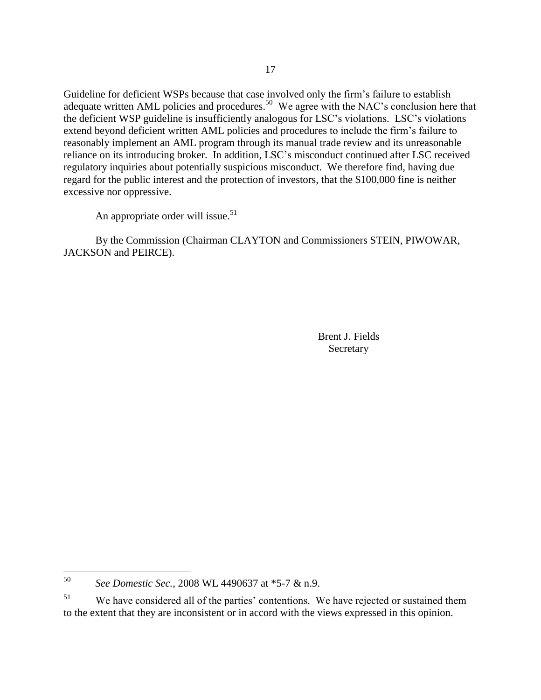Guideline for deficient WSPs because that case involved only the firm's failure to establish adequate written AML policies and procedures.<sup>50</sup> We agree with the NAC's conclusion here that the deficient WSP guideline is insufficiently analogous for LSC's violations. LSC's violations extend beyond deficient written AML policies and procedures to include the firm's failure to reasonably implement an AML program through its manual trade review and its unreasonable reliance on its introducing broker. In addition, LSC's misconduct continued after LSC received regulatory inquiries about potentially suspicious misconduct. We therefore find, having due regard for the public interest and the protection of investors, that the \$100,000 fine is neither excessive nor oppressive.

An appropriate order will issue.<sup>51</sup>

By the Commission (Chairman CLAYTON and Commissioners STEIN, PIWOWAR, JACKSON and PEIRCE).

> Brent J. Fields Secretary

<sup>50</sup> <sup>50</sup> *See Domestic Sec.*, 2008 WL 4490637 at \*5-7 & n.9.

<sup>&</sup>lt;sup>51</sup> We have considered all of the parties' contentions. We have rejected or sustained them to the extent that they are inconsistent or in accord with the views expressed in this opinion.